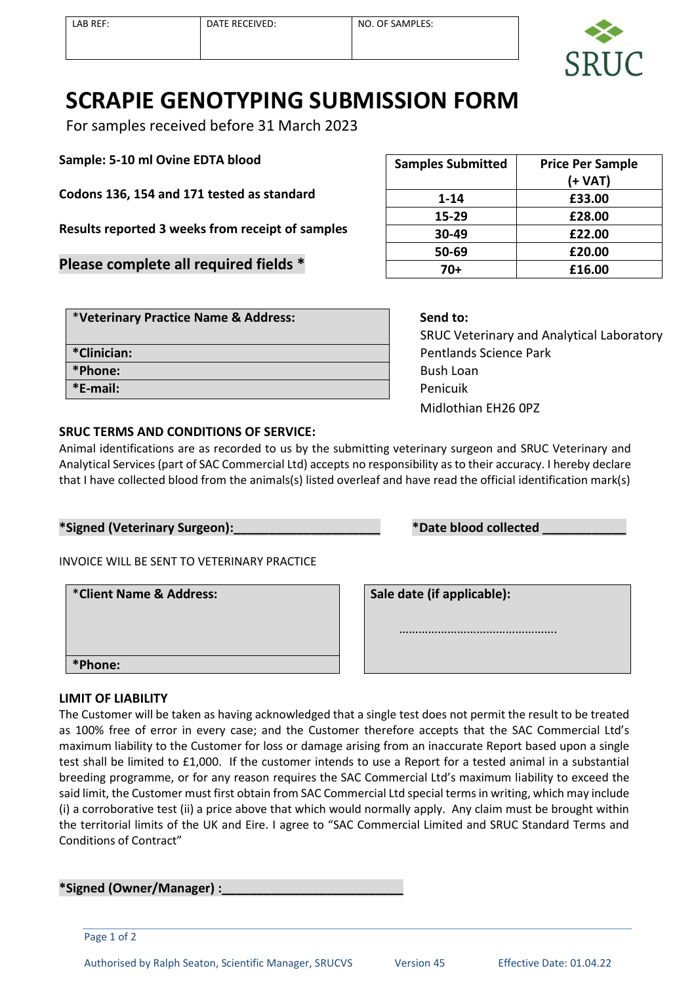

## **SCRAPIE GENOTYPING SUBMISSION FORM**

For samples received before 31 March 2023

**Sample: 5-10 ml Ovine EDTA blood**

**Codons 136, 154 and 171 tested as standard**

**Results reported 3 weeks from receipt of samples**

**Please complete all required fields \***

| <b>Samples Submitted</b> | <b>Price Per Sample</b> |  |
|--------------------------|-------------------------|--|
|                          | (+ VAT)                 |  |
| $1 - 14$                 | £33.00                  |  |
| 15-29                    | £28.00                  |  |
| 30-49                    | £22.00                  |  |
| 50-69                    | £20.00                  |  |
| 70+                      | £16.00                  |  |

| *Veterinary Practice Name & Address: | Send to:        |  |
|--------------------------------------|-----------------|--|
|                                      | <b>SRUC Ve</b>  |  |
| *Clinician:                          | Pentland        |  |
| *Phone:                              | <b>Bush Loa</b> |  |
| *E-mail:                             | Penicuik        |  |
|                                      |                 |  |

 SRUC Veterinary and Analytical Laboratory Pentlands Science Park **Bush Loan** Midlothian EH26 0PZ

## **SRUC TERMS AND CONDITIONS OF SERVICE:**

Animal identifications are as recorded to us by the submitting veterinary surgeon and SRUC Veterinary and Analytical Services (part of SAC Commercial Ltd) accepts no responsibility as to their accuracy. I hereby declare that I have collected blood from the animals(s) listed overleaf and have read the official identification mark(s)

| *Signed (Veterinary Surgeon): |  |
|-------------------------------|--|
|                               |  |

 $*$ Date blood collected

INVOICE WILL BE SENT TO VETERINARY PRACTICE

\***Client Name & Address: Sale date (if applicable): \*Phone:**

……………………………………………

## **LIMIT OF LIABILITY**

The Customer will be taken as having acknowledged that a single test does not permit the result to be treated as 100% free of error in every case; and the Customer therefore accepts that the SAC Commercial Ltd's maximum liability to the Customer for loss or damage arising from an inaccurate Report based upon a single test shall be limited to £1,000. If the customer intends to use a Report for a tested animal in a substantial breeding programme, or for any reason requires the SAC Commercial Ltd's maximum liability to exceed the said limit, the Customer must first obtain from SAC Commercial Ltd special terms in writing, which may include (i) a corroborative test (ii) a price above that which would normally apply. Any claim must be brought within the territorial limits of the UK and Eire. I agree to "SAC Commercial Limited and SRUC Standard Terms and Conditions of Contract"

**\*Signed (Owner/Manager) :\_\_\_\_\_\_\_\_\_\_\_\_\_\_\_\_\_\_\_\_\_\_\_\_\_\_**

Page 1 of 2

Authorised by Ralph Seaton, Scientific Manager, SRUCVS Version 45 Effective Date: 01.04.22